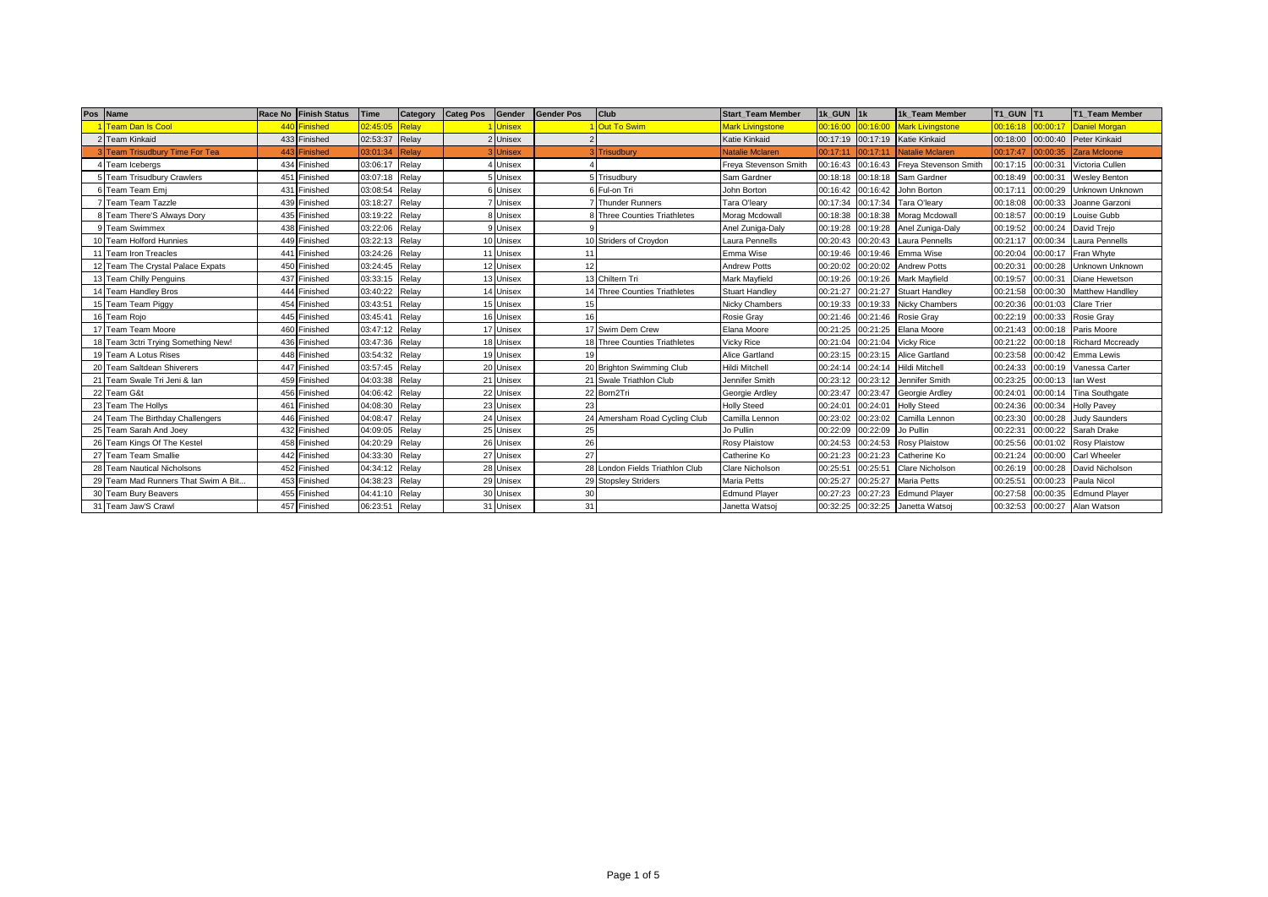|    | Pos Name                             | Race No Finish Status | Time     | Category | <b>Categ Pos</b> | Gender    | <b>Gender Pos</b> | Club                          | <b>Start Team Member</b> | 1k GUN 1k         |          | 1k Team Member          | <b>T1 GUN T1</b> |          | <b>T1 Team Member</b>  |
|----|--------------------------------------|-----------------------|----------|----------|------------------|-----------|-------------------|-------------------------------|--------------------------|-------------------|----------|-------------------------|------------------|----------|------------------------|
|    | <b>Team Dan Is Cool</b>              | 440 Finished          | 02:45:0  | Relay    |                  | Unisex    |                   | Out To Swim                   | <b>Mark Livingstone</b>  | 00:16:00          | 00:16:00 | <b>Mark Livingstone</b> | 00:16:18         | 00:00:17 | <b>Daniel Morgan</b>   |
|    | 2 Team Kinkaid                       | 433 Finished          | 02:53:37 | Relay    |                  | Unisex    |                   |                               | <b>Katie Kinkaid</b>     | 00:17:19          | 00:17:19 | Katie Kinkaid           | 00:18:00         |          | 00:00:40 Peter Kinkaid |
|    | <b>Team Trisudbury Time For Tea</b>  | 443 Finished          | 03:01:34 | Relay    |                  | Unisex    |                   | <b>Trisudbury</b>             | <b>Natalie Mclaren</b>   | 00:17:11          | 00:17:11 | Natalie Mclaren         | 00:17:47         | 00:00:35 | Zara Mcloone           |
|    | Team Icebergs                        | 434 Finished          | 03:06:17 | Relay    |                  | Unisex    |                   |                               | Freya Stevenson Smith    | 00:16:43          | 00:16:43 | Freva Stevenson Smith   | 00:17:15         | 00:00:31 | Victoria Cullen        |
|    | 5 Team Trisudbury Crawlers           | 451 Finished          | 03:07:18 | Relay    |                  | Unisex    |                   | Trisudbury                    | Sam Gardner              | 00:18:18          | 00:18:18 | Sam Gardner             | 00:18:49         | 00:00:31 | <b>Weslev Benton</b>   |
|    | Team Team Emi                        | 431 Finished          | 03:08:54 | Relay    |                  | Unisex    |                   | Ful-on Tri                    | John Borton              | 00:16:42          | 00:16:42 | John Borton             | 00:17:11         | 00:00:29 | <b>Unknown Unknown</b> |
|    | <b>Team Team Tazzle</b>              | 439 Finished          | 03:18:27 | Relay    |                  | Unisex    |                   | <b>Thunder Runners</b>        | Tara O'learv             | 00:17:34          | 00:17:34 | Tara O'learv            | 00:18:08         | 00:00:33 | Joanne Garzoni         |
|    | 8 Team There'S Always Dory           | 435 Finished          | 03:19:22 | Relay    |                  | Unisex    |                   | 8 Three Counties Triathletes  | Morag Mcdowall           | 00:18:38          | 00:18:38 | Morag Mcdowall          | 00:18:57         | 00:00:19 | Louise Gubb            |
|    | <b>Team Swimmex</b>                  | 438 Finished          | 03:22:06 | Relay    |                  | Unisex    |                   |                               | Anel Zuniga-Daly         | 00:19:28          | 00:19:28 | Anel Zuniga-Daly        | 00:19:52         | 00:00:24 | David Trejo            |
| 10 | <b>Team Holford Hunnies</b>          | 449 Finished          | 03:22:13 | Relay    |                  | Unisex    |                   | 10 Striders of Crovdon        | Laura Pennells           | 00:20:43          | 00:20:43 | Laura Pennells          | 00:21:17         | 00:00:34 | Laura Pennells         |
|    | 11 Team Iron Treacles                | 441 Finished          | 03:24:26 | Relay    |                  | 11 Unisex |                   |                               | Emma Wise                | 00:19:46          | 00:19:46 | Emma Wise               | 00:20:04         | 00:00:17 | Fran Whyte             |
|    | 12 Team The Crystal Palace Expats    | 450 Finished          | 03:24:45 | Relay    |                  | 12 Unisex | 12                |                               | <b>Andrew Potts</b>      | 00:20:02          | 00:20:02 | Andrew Potts            | 00:20:31         | 00:00:28 | Unknown Unknown        |
|    | 13 Team Chilly Penguins              | 437 Finished          | 03:33:15 | Relay    | 13               | Unisex    |                   | Chiltern Tri                  | Mark Mayfield            | 00:19:26          | 00:19:26 | Mark Mayfield           | 00:19:57         | 00:00:31 | Diane Hewetson         |
|    | 14 Team Handley Bros                 | 444 Finished          | 03:40:22 | Relay    |                  | 14 Unisex |                   | 14 Three Counties Triathletes | <b>Stuart Handley</b>    | 00:21:27          | 00:21:27 | <b>Stuart Handley</b>   | 00:21:58         | 00:00:30 | Matthew Handlley       |
|    | 15 Team Team Piggy                   | 454 Finished          | 03:43:51 | Relay    |                  | 15 Unisex |                   |                               | <b>Nicky Chambers</b>    | 00:19:33          | 00:19:33 | Nicky Chambers          | 00:20:36         | 00:01:03 | <b>Clare Trier</b>     |
|    | 16 Team Rojo                         | 445 Finished          | 03:45:4  | Relav    |                  | Unisex    | 16                |                               | Rosie Grav               | 00:21:46          | 00:21:46 | Rosie Grav              | 00:22:19         | 00:00:33 | Rosie Grav             |
|    | 17 Team Team Moore                   | 460 Finished          | 03:47:12 | Relay    | 17               | Unisex    |                   | 17 Swim Dem Crew              | Elana Moore              | 00:21:25          | 00:21:25 | Elana Moore             | 00:21:43         | 00:00:18 | Paris Moore            |
|    | 18 Team 3ctri Trying Something New!  | 436 Finished          | 03:47:36 | Relay    |                  | 18 Unisex |                   | 18 Three Counties Triathletes | Vicky Rice               | 00:21:04          | 00:21:04 | <b>Vicky Rice</b>       | 00:21:22         | 00:00:18 | Richard Mccready       |
|    | 19 Team A Lotus Rises                | 448 Finished          | 03:54:32 | Relay    | 19               | Unisex    |                   |                               | <b>Alice Gartland</b>    | 00:23:15          | 00:23:15 | Alice Gartland          | 00:23:58         |          | 00:00:42 Emma Lewis    |
|    | 20 Team Saltdean Shiverers           | 447 Finished          | 03:57:45 | Relay    |                  | 20 Unisex |                   | 20 Brighton Swimming Club     | Hildi Mitchell           | 00:24:14          | 00:24:14 | <b>Hildi Mitchell</b>   | 00:24:33         | 00:00:19 | Vanessa Carter         |
|    | 21 Team Swale Tri Jeni & Ian         | 459 Finished          | 04:03:38 | Relay    |                  | 21 Unisex |                   | 21 Swale Triathlon Club       | Jennifer Smith           | 00:23:12          | 00:23:12 | Jennifer Smith          | 00:23:25         | 00:00:13 | lan West               |
|    | 22 Team G&t                          | 456 Finished          | 04:06:42 | Relay    |                  | 22 Unisex |                   | 22 Born2Tri                   | Georgie Ardley           | 00:23:47          | 00:23:47 | Georgie Ardley          | 00:24:01         | 00:00:14 | Tina Southgate         |
|    | 23 Team The Hollys                   | 461 Finished          | 04:08:30 | Relay    |                  | 23 Unisex | 23                |                               | <b>Holly Steed</b>       | 00:24:01          | 00:24:01 | <b>Holly Steed</b>      | 00:24:36         | 00:00:34 | <b>Holly Pavey</b>     |
|    | 24 Team The Birthday Challengers     | 446 Finished          | 04:08:47 | Relay    |                  | 24 Unisex |                   | Amersham Road Cycling Club    | Camilla Lennon           | 00:23:02          | 00:23:02 | Camilla Lennon          | 00:23:30         | 00:00:28 | <b>Judy Saunders</b>   |
|    | 25 Team Sarah And Joey               | 432 Finished          | 04:09:05 | Relay    |                  | 25 Unisex | 25                |                               | Jo Pullin                | 00:22:09          | 00:22:09 | Jo Pullin               | 00:22:31         | 00:00:22 | Sarah Drake            |
|    | 26 Team Kings Of The Kestel          | 458 Finished          | 04:20:29 | Relay    |                  | 26 Unisex | 26                |                               | Rosy Plaistow            | 00:24:53          | 00:24:53 | <b>Rosy Plaistow</b>    | 00:25:56         | 00:01:02 | <b>Rosy Plaistow</b>   |
|    | 27 Team Team Smallie                 | 442 Finished          | 04:33:30 | Relay    |                  | 27 Unisex | 27                |                               | Catherine Ko             | 00:21:23          | 00:21:23 | Catherine Ko            | 00:21:24         | 00:00:00 | <b>Carl Wheeler</b>    |
|    | 28 Team Nautical Nicholsons          | 452 Finished          | 04:34:12 | Relay    | 28               | Unisex    | 28                | London Fields Triathlon Club  | <b>Clare Nicholson</b>   | 00:25:51          | 00:25:51 | Clare Nicholson         | 00:26:19         | 00:00:28 | David Nicholson        |
|    | 29 Team Mad Runners That Swim A Bit. | 453 Finished          | 04:38:23 | Relay    |                  | 29 Unisex |                   | 29 Stopsley Striders          | Maria Petts              | 00:25:27          | 00:25:27 | <b>Maria Petts</b>      | 00:25:51         | 00:00:23 | Paula Nicol            |
|    | 30 Team Bury Beavers                 | 455 Finished          | 04:41:10 | Relay    |                  | 30 Unisex | 30                |                               | <b>Edmund Player</b>     | 00:27:23          | 00:27:23 | <b>Edmund Player</b>    | 00:27:58         | 00:00:35 | <b>Edmund Player</b>   |
|    | 31 Team Jaw'S Crawl                  | 457 Finished          | 06:23:51 | Relay    |                  | 31 Unisex | 31                |                               | Janetta Watsoj           | 00:32:25 00:32:25 |          | Janetta Watsoj          | 00:32:53         |          | 00:00:27 Alan Watson   |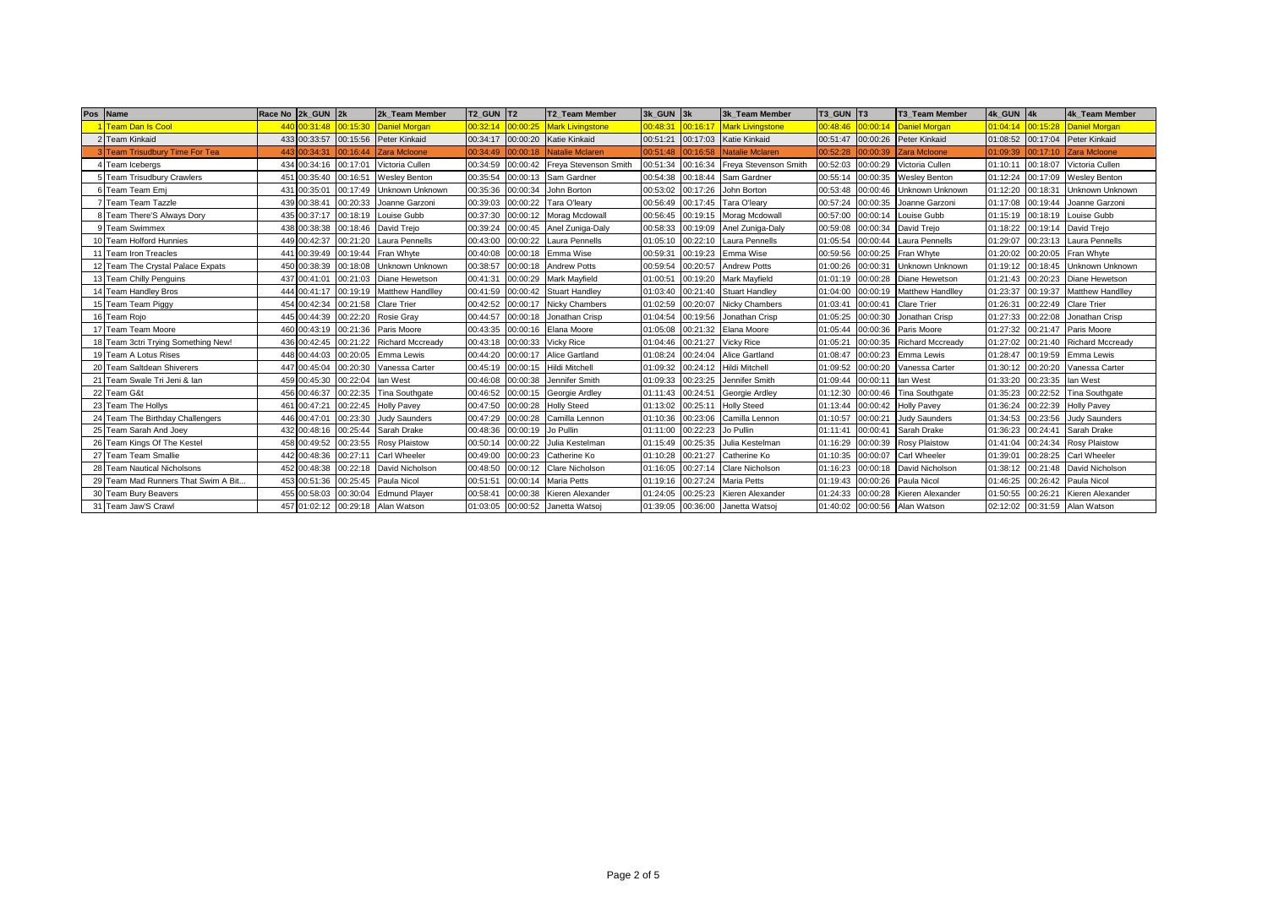| Pos Name                            |       | Race No 2k GUN 2k |          | 2k Team Member          | T2 GUN T2 |          | T2 Team Member                   | 3k GUN 3k |          | 3k Team Member          | T3 GUN T3 |                   | <b>T3 Team Member</b>   | 4k GUN 4k |          | 4k Team Member          |
|-------------------------------------|-------|-------------------|----------|-------------------------|-----------|----------|----------------------------------|-----------|----------|-------------------------|-----------|-------------------|-------------------------|-----------|----------|-------------------------|
| <b>Team Dan Is Cool</b>             | 440   | 0:31:48           | 00:15:30 | Daniel Morgan           | 00:32:14  | 00:00:25 | <b>Mark Livingstone</b>          | 00:48:31  | 00:16:17 | <b>Mark Livingstone</b> | 00:48:46  | 00:00:14          | <b>Daniel Morgan</b>    | 01:04:14  | 00:15:28 | <b>Daniel Morgan</b>    |
| Team Kinkaid                        |       | 433 00:33:57      |          | 00:15:56 Peter Kinkaid  |           |          | 00:34:17 00:00:20 Katie Kinkaid  | 00:51:21  | 00:17:03 | Katie Kinkaid           | 00:51:47  |                   | 00:00:26 Peter Kinkaid  | 01:08:52  |          | 00:17:04 Peter Kinkaid  |
| <b>Team Trisudbury Time For Tea</b> | 4431  | 00:34:31          | 00:16:44 | Zara Mcloone            | 00:34:49  | 00:00:18 | Natalie Mclaren                  | 00:51:48  | 00:16:58 | <b>Natalie Mclaren</b>  | 00:52:28  | 00:00:39          | <b>Zara Mcloone</b>     | 01:09:39  | 00:17:10 | <b>Zara Mcloone</b>     |
| Team Icebergs                       |       | 434 00:34:16      | 00:17:01 | Victoria Cullen         | 00:34:59  |          | 00:00:42 Freya Stevenson Smith   | 00:51:34  | 00:16:34 | Freya Stevenson Smith   | 00:52:03  | 00:00:29          | Victoria Cullen         | 01:10:11  | 00:18:07 | Victoria Cullen         |
| <b>Team Trisudbury Crawlers</b>     |       | 451 00:35:40      | 00:16:51 | <b>Wesley Benton</b>    | 00:35:54  |          | 00:00:13 Sam Gardner             | 00:54:38  | 00:18:44 | Sam Gardner             | 00:55:14  | 00:00:35          | <b>Wesley Benton</b>    | 01:12:24  | 00:17:09 | <b>Wesley Benton</b>    |
| Team Team Emj                       | 431   | 00:35:01          | 00:17:49 | <b>Unknown Unknown</b>  | 00:35:36  | 00:00:34 | John Borton                      | 00:53:02  | 00:17:26 | John Borton             | 00:53:48  | 00:00:46          | Unknown Unknown         | 01:12:20  | 00:18:31 | Unknown Unknown         |
| <b>Team Team Tazzle</b>             |       | 439 00:38:41      | 00:20:33 | Joanne Garzoni          | 00:39:03  | 00:00:22 | Tara O'leary                     | 00:56:49  | 00:17:45 | Tara O'leary            | 00:57:24  | 00:00:35          | Joanne Garzoni          | 01:17:08  | 00:19:44 | Joanne Garzoni          |
| Team There'S Always Dory            |       | 435 00:37:17      | 00:18:19 | Louise Gubb             | 00:37:30  |          | 00:00:12 Morag Mcdowall          | 00:56:45  | 00:19:15 | Morag Mcdowall          | 00:57:00  | 00:00:14          | Louise Gubb             | 01:15:19  | 00:18:19 | Louise Gubb             |
| <b>Team Swimmex</b>                 | 4381  | 00:38:38          | 00:18:46 | David Trejo             | 00:39:24  |          | 00:00:45 Anel Zuniga-Daly        | 00:58:33  | 00:19:09 | Anel Zuniga-Daly        | 00:59:08  | 00:00:34          | David Trejo             | 01:18:22  | 00:19:14 | David Trejo             |
| Team Holford Hunnies                |       | 449 00:42:37      | 00:21:20 | Laura Pennells          | 00:43:00  |          | 00:00:22 Laura Pennells          | 01:05:10  | 00:22:10 | Laura Pennells          | 01:05:54  | 00:00:44          | Laura Pennells          | 01:29:07  | 00:23:13 | Laura Pennells          |
| 11 Team Iron Treacles               |       | 441 00:39:49      | 00:19:44 | Fran Whyte              | 00:40:08  |          | 00:00:18 Emma Wise               | 00:59:31  | 00:19:23 | Emma Wise               | 00:59:56  | 00:00:25          | Fran Whyte              | 01:20:02  | 00:20:05 | Fran Whyte              |
| 12 Team The Crystal Palace Expats   |       | 450 00:38:39      | 00:18:08 | <b>Unknown Unknown</b>  | 00:38:57  |          | 00:00:18 Andrew Potts            | 00:59:54  | 00:20:57 | <b>Andrew Potts</b>     | 01:00:26  | 00:00:31          | Unknown Unknown         | 01:19:12  | 00:18:45 | <b>Unknown Unknown</b>  |
| 13 Team Chilly Penguins             |       | 437 00:41:01      | 00:21:03 | Diane Hewetson          | 00:41:31  |          | 00:00:29 Mark Mayfield           | 01:00:51  | 00:19:20 | Mark Mayfield           | 01:01:19  | 00:00:28          | Diane Hewetson          | 01:21:43  | 00:20:23 | Diane Hewetson          |
| 14 Team Handley Bros                |       | 444 00:41:17      | 00:19:19 | Matthew Handlley        |           |          | 00:41:59 00:00:42 Stuart Handley | 01:03:40  | 00:21:40 | <b>Stuart Handley</b>   | 01:04:00  | 00:00:19          | <b>Matthew Handlley</b> | 01:23:37  | 00:19:37 | Matthew Handlley        |
| 15 Team Team Piggy                  |       | 454 00:42:34      | 00:21:58 | <b>Clare Trier</b>      | 00:42:52  | 00:00:17 | <b>Nicky Chambers</b>            | 01:02:59  | 00:20:07 | <b>Nicky Chambers</b>   | 01:03:41  | 00:00:41          | <b>Clare Trier</b>      | 01:26:31  | 00:22:49 | <b>Clare Trier</b>      |
| 16 Team Rojo                        |       | 445 00:44:39      | 00:22:20 | <b>Rosie Gray</b>       | 00:44:57  | 00:00:18 | Jonathan Crisp                   | 01:04:54  | 00:19:56 | Jonathan Crisp          | 01:05:25  | 00:00:30          | Jonathan Crisp          | 01:27:33  | 00:22:08 | Jonathan Crisp          |
| 17 Team Team Moore                  |       | 460 00:43:19      | 00:21:36 | Paris Moore             | 00:43:35  |          | 00:00:16 Elana Moore             | 01:05:08  | 00:21:32 | Elana Moore             | 01:05:44  | 00:00:36          | Paris Moore             | 01:27:32  | 00:21:47 | Paris Moore             |
| 18 Team 3ctri Trying Something New! | 436   | 00:42:45          | 00:21:22 | <b>Richard Mccready</b> | 00:43:18  | 00:00:33 | <b>Vicky Rice</b>                | 01:04:46  | 00:21:27 | <b>Vicky Rice</b>       | 01:05:21  | 00:00:35          | <b>Richard Mccready</b> | 01:27:02  | 00:21:40 | <b>Richard Mccready</b> |
| 19 Team A Lotus Rises               |       | 448 00:44:03      | 00:20:05 | Emma Lewis              | 00:44:20  | 00:00:17 | <b>Alice Gartland</b>            | 01:08:24  | 00:24:04 | <b>Alice Gartland</b>   | 01:08:47  | 00:00:23          | Emma Lewis              | 01:28:47  | 00:19:59 | Emma Lewis              |
| 20 Team Saltdean Shiverers          |       | 447 00:45:04      | 00:20:30 | Vanessa Carter          |           |          | 00:45:19 00:00:15 Hildi Mitchell | 01:09:32  | 00:24:12 | Hildi Mitchell          | 01:09:52  | 00:00:20          | Vanessa Carter          | 01:30:12  | 00:20:20 | Vanessa Carter          |
| 21 Team Swale Tri Jeni & Ian        | 459 ( | 00:45:30          | 00:22:04 | lan West                | 00:46:08  | 00:00:38 | Jennifer Smith                   | 01:09:33  | 00:23:25 | Jennifer Smith          | 01:09:44  | 00:00:11          | lan West                | 01:33:20  | 00:23:35 | lan West                |
| 22 Team G&t                         |       | 456 00:46:37      | 00:22:35 | <b>Tina Southgate</b>   | 00:46:52  | 00:00:15 | Georgie Ardley                   | 01:11:43  | 00:24:51 | Georgie Ardley          | 01:12:30  | 00:00:46          | <b>Tina Southgate</b>   | 01:35:23  | 00:22:52 | <b>Tina Southgate</b>   |
| 23 Team The Hollys                  |       | 461 00:47:21      | 00:22:45 | <b>Holly Pavey</b>      | 00:47:50  | 00:00:28 | <b>Holly Steed</b>               | 01:13:02  | 00:25:11 | <b>Holly Steed</b>      | 01:13:44  | 00:00:42          | <b>Holly Pavey</b>      | 01:36:24  | 00:22:39 | <b>Holly Pavey</b>      |
| 24 Team The Birthday Challengers    |       | 446 00:47:01      | 00:23:30 | <b>Judy Saunders</b>    | 00:47:29  | 00:00:28 | Camilla Lennon                   | 01:10:36  | 00:23:06 | Camilla Lennon          | 01:10:57  | 00:00:21          | <b>Judy Saunders</b>    | 01:34:53  | 00:23:56 | <b>Judy Saunders</b>    |
| 25 Team Sarah And Joey              |       | 432 00:48:16      | 00:25:44 | Sarah Drake             | 00:48:36  | 00:00:19 | Jo Pullin                        | 01:11:00  | 00:22:23 | Jo Pullin               | 01:11:41  | 00:00:41          | Sarah Drake             | 01:36:23  | 00:24:41 | Sarah Drake             |
| 26 Team Kings Of The Kestel         |       | 458 00:49:52      | 00:23:55 | <b>Rosy Plaistow</b>    | 00:50:14  | 00:00:22 | Julia Kestelman                  | 01:15:49  | 00:25:35 | Julia Kestelman         | 01:16:29  | 00:00:39          | <b>Rosy Plaistow</b>    | 01:41:04  | 00:24:34 | <b>Rosy Plaistow</b>    |
| 27 Team Team Smallie                |       | 442 00:48:36      | 00:27:11 | <b>Carl Wheeler</b>     | 00:49:00  | 00:00:23 | Catherine Ko                     | 01:10:28  | 00:21:27 | Catherine Ko            | 01:10:35  | 00:00:07          | <b>Carl Wheeler</b>     | 01:39:01  | 00:28:25 | Carl Wheeler            |
| 28 Team Nautical Nicholsons         |       | 452 00:48:38      | 00:22:18 | David Nicholson         | 00:48:50  | 00:00:12 | <b>Clare Nicholson</b>           | 01:16:05  | 00:27:14 | Clare Nicholson         | 01:16:23  | 00:00:18          | David Nicholson         | 01:38:12  | 00:21:48 | David Nicholson         |
| 29 Team Mad Runners That Swim A Bit |       | 453 00:51:36      | 00:25:45 | Paula Nicol             | 00:51:51  | 00:00:14 | <b>Maria Petts</b>               | 01:19:16  | 00:27:24 | <b>Maria Petts</b>      | 01:19:43  | 00:00:26          | Paula Nicol             | 01:46:25  | 00:26:42 | Paula Nicol             |
| 30 Team Bury Beavers                |       | 455 00:58:03      | 00:30:04 | <b>Edmund Player</b>    | 00:58:41  | 00:00:38 | Kieren Alexander                 | 01:24:05  | 00:25:23 | Kieren Alexander        | 01:24:33  | 00:00:28          | Kieren Alexander        | 01:50:55  | 00:26:21 | Kieren Alexander        |
| 31 Team Jaw'S Crawl                 |       | 457 01:02:12      |          | 00:29:18 Alan Watson    |           |          | 01:03:05 00:00:52 Janetta Watsoj | 01:39:05  | 00:36:00 | Janetta Watsoj          |           | 01:40:02 00:00:56 | Alan Watson             | 02:12:02  |          | 00:31:59 Alan Watson    |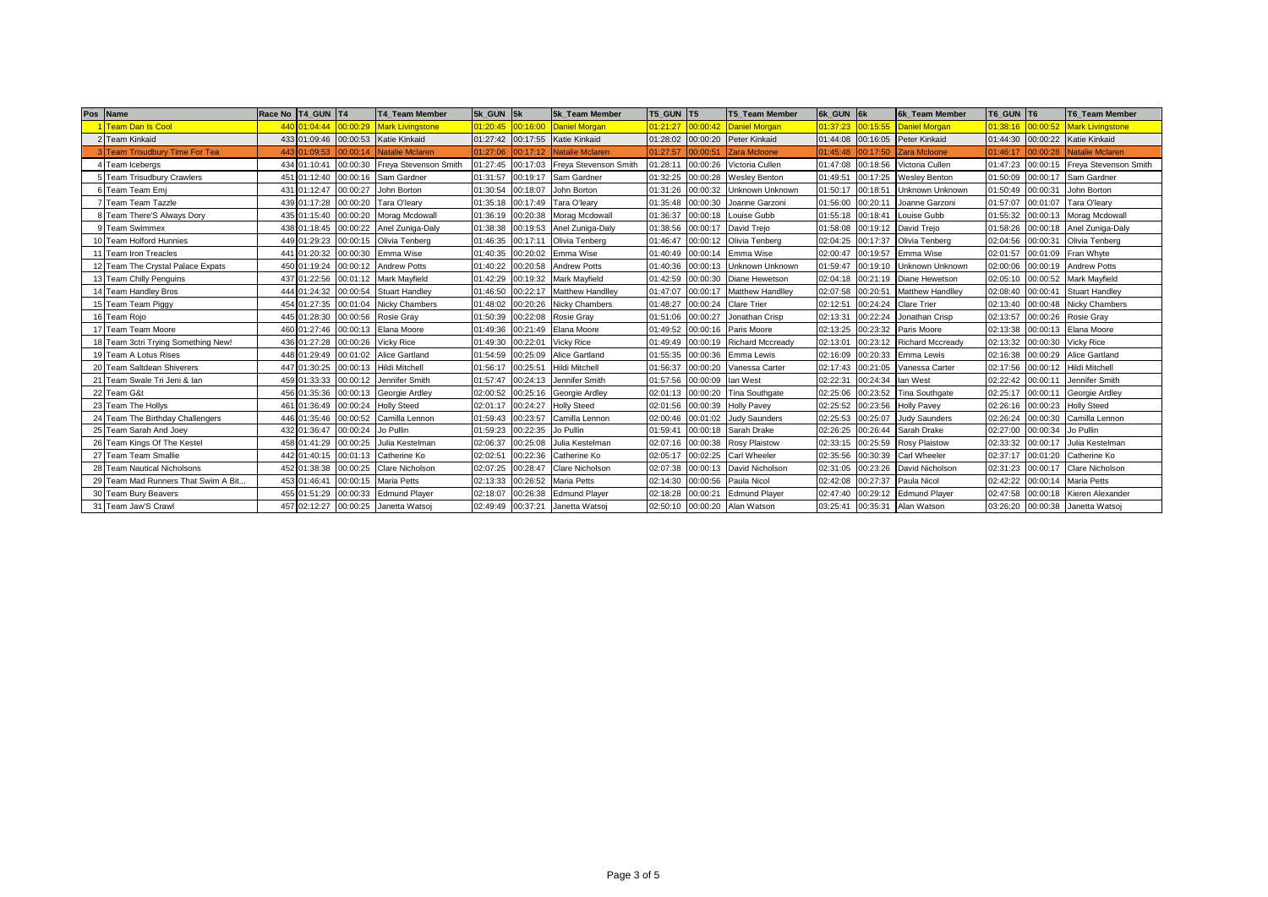|    | Pos Name                             |     | Race No   T4 GUN   T4 |          | <b>T4 Team Member</b>   | 5k GUN 5k |          | 5k Team Member                   | <b>T5 GUN T5</b> |          | T5 Team Member          | 6k GUN 6k |          | <b>6k Team Member</b>         | T6 GUN T6 |          | T6 Team Member          |
|----|--------------------------------------|-----|-----------------------|----------|-------------------------|-----------|----------|----------------------------------|------------------|----------|-------------------------|-----------|----------|-------------------------------|-----------|----------|-------------------------|
|    | <b>Team Dan Is Cool</b>              |     | 440 01:04:44          | 00:00:29 | <b>Mark Livingstone</b> | 01:20:45  | 00:16:00 | Daniel Morgan                    | 01:21:27         | 00:00:42 | <b>Daniel Morgan</b>    | 01:37:23  | 00:15:55 | <b>Daniel Morgan</b>          | 01:38:16  | 00:00:52 | <b>Mark Livingstone</b> |
|    | 2 Team Kinkaid                       |     | 433 01:09:46          |          | 00:00:53 Katie Kinkaid  |           |          | 01:27:42 00:17:55 Katie Kinkaid  | 01:28:02         | 00:00:20 | Peter Kinkaid           | 01:44:08  |          | 00:16:05 Peter Kinkaid        | 01:44:30  |          | 00:00:22 Katie Kinkaid  |
|    | <b>Team Trisudbury Time For Tea</b>  |     | 443 01:09:53          | 00:00:14 | <b>Natalie Mclaren</b>  | 01:27:06  | 00:17:12 | <b>Natalie Mclaren</b>           | 01:27:57         | 00:00:51 | <b>Zara Mcloone</b>     | 01:45:48  | 00:17:50 | <b>Zara Mcloone</b>           | 01:46:17  | 00:00:28 | <b>Natalie Mclaren</b>  |
|    | Team Icebergs                        |     | 434 01:10:41          | 00:00:30 | Freya Stevenson Smith   | 01:27:45  |          | 00:17:03 Freva Stevenson Smith   | 01:28:11         | 00:00:26 | Victoria Cullen         | 01:47:08  | 00:18:56 | Victoria Cullen               | 01:47:23  | 00:00:15 | Freya Stevenson Smith   |
|    | 5 Team Trisudbury Crawlers           |     | 451 01:12:40          | 00:00:16 | Sam Gardner             | 01:31:57  |          | 00:19:17 Sam Gardner             | 01:32:25         | 00:00:28 | <b>Wesley Benton</b>    | 01:49:51  | 00:17:25 | <b>Wesley Benton</b>          | 01:50:09  | 00:00:17 | Sam Gardner             |
|    | Team Team Emi                        |     | 431 01:12:47          | 00:00:27 | John Borton             | 01:30:54  | 00:18:07 | John Borton                      | 01:31:26         | 00:00:32 | Unknown Unknown         | 01:50:17  | 00:18:51 | Unknown Unknown               | 01:50:49  | 00:00:31 | John Borton             |
|    | <b>Team Team Tazzle</b>              |     | 439 01:17:28          | 00:00:20 | Tara O'learv            | 01:35:18  |          | 00:17:49 Tara O'leary            | 01:35:48         | 00:00:30 | Joanne Garzoni          | 01:56:00  | 00:20:11 | Joanne Garzoni                | 01:57:07  | 00:01:07 | Tara O'leary            |
|    | 8 Team There'S Always Dory           |     | 435 01:15:40          | 00:00:20 | Morag Mcdowall          | 01:36:19  |          | 00:20:38 Morag Mcdowall          | 01:36:37         | 00:00:18 | Louise Gubb             | 01:55:18  | 00:18:41 | Louise Gubb                   | 01:55:32  |          | 00:00:13 Morag Mcdowall |
|    | <b>Team Swimmex</b>                  |     | 438 01:18:45          | 00:00:22 | Anel Zuniga-Daly        | 01:38:38  |          | 00:19:53 Anel Zuniga-Daly        | 01:38:56         | 00:00:17 | David Trejo             | 01:58:08  | 00:19:12 | David Trejo                   | 01:58:26  | 00:00:18 | Anel Zuniga-Daly        |
| 10 | <b>Team Holford Hunnies</b>          | 449 | 01:29:23              | 00:00:15 | Olivia Tenberg          | 01:46:35  | 00:17:11 | Olivia Tenberg                   | 01:46:47         | 00:00:12 | Olivia Tenberg          | 02:04:25  | 00:17:37 | Olivia Tenberg                | 02:04:56  | 00:00:31 | Olivia Tenberg          |
|    | 11 Team Iron Treacles                |     | 441 01:20:32          | 00:00:30 | Emma Wise               | 01:40:35  |          | 00:20:02 Emma Wise               | 01:40:49         | 00:00:14 | Emma Wise               | 02:00:47  | 00:19:57 | Emma Wise                     | 02:01:57  | 00:01:09 | Fran Whyte              |
|    | 12 Team The Crystal Palace Expats    |     | 450 01:19:24          | 00:00:12 | <b>Andrew Potts</b>     | 01:40:22  |          | 00:20:58 Andrew Potts            | 01:40:36         | 00:00:13 | Unknown Unknown         | 01:59:47  | 00:19:10 | Unknown Unknown               | 02:00:06  | 00:00:19 | <b>Andrew Potts</b>     |
|    | 13 Team Chilly Penguins              |     | 437 01:22:56          | 00:01:12 | <b>Mark Mayfield</b>    | 01:42:29  |          | 00:19:32 Mark Mayfield           | 01:42:59         | 00:00:30 | Diane Hewetson          | 02:04:18  | 00:21:19 | Diane Hewetson                | 02:05:10  | 00:00:52 | <b>Mark Mayfield</b>    |
|    | 14 Team Handley Bros                 |     | 444 01:24:32          |          | 00:00:54 Stuart Handley | 01:46:50  |          | 00:22:17 Matthew Handlley        | 01:47:07         | 00:00:17 | Matthew Handlley        | 02:07:58  | 00:20:51 | <b>Matthew Handlley</b>       | 02:08:40  | 00:00:41 | <b>Stuart Handley</b>   |
|    | 15 Team Team Piggy                   |     | 454 01:27:35          | 00:01:04 | <b>Nicky Chambers</b>   | 01:48:02  |          | 00:20:26 Nicky Chambers          | 01:48:27         | 00:00:24 | <b>Clare Trier</b>      | 02:12:51  | 00:24:24 | <b>Clare Trier</b>            | 02:13:40  | 00:00:48 | Nicky Chambers          |
|    | 16 Team Rojo                         |     | 445 01:28:30          | 00:00:56 | Rosie Grav              | 01:50:39  |          | 00:22:08 Rosie Gray              | 01:51:06         | 00:00:27 | Jonathan Crisp          | 02:13:31  | 00:22:24 | Jonathan Crisp                | 02:13:57  | 00:00:26 | <b>Rosie Gray</b>       |
|    | 17 Team Team Moore                   |     | 460 01:27:46          | 00:00:13 | Elana Moore             | 01:49:36  |          | 00:21:49 Elana Moore             | 01:49:52         | 00:00:16 | Paris Moore             | 02:13:25  | 00:23:32 | Paris Moore                   | 02:13:38  | 00:00:13 | Elana Moore             |
|    | 18 Team 3ctri Trying Something New!  |     | 436 01:27:28          | 00:00:26 | <b>Vicky Rice</b>       | 01:49:30  | 00:22:01 | <b>Vicky Rice</b>                | 01:49:49         | 00:00:19 | <b>Richard Mccready</b> | 02:13:01  | 00:23:12 | <b>Richard Mccready</b>       | 02:13:32  | 00:00:30 | <b>Vicky Rice</b>       |
|    | 19 Team A Lotus Rises                | 448 | 01:29:49              | 00:01:02 | Alice Gartland          | 01:54:59  | 00:25:09 | <b>Alice Gartland</b>            | 01:55:35         | 00:00:36 | Emma Lewis              | 02:16:09  | 00:20:33 | Emma Lewis                    | 02:16:38  | 00:00:29 | Alice Gartland          |
|    | 20 Team Saltdean Shiverers           |     | 447 01:30:25          | 00:00:13 | <b>Hildi Mitchell</b>   | 01:56:17  | 00:25:51 | <b>Hildi Mitchell</b>            | 01:56:37         | 00:00:20 | Vanessa Carter          | 02:17:43  | 00:21:05 | Vanessa Carter                | 02:17:56  | 00:00:12 | Hildi Mitchell          |
|    | 21 Team Swale Tri Jeni & Ian         |     | 459 01:33:33          | 00:00:12 | Jennifer Smith          | 01:57:47  |          | 00:24:13 Jennifer Smith          | 01:57:56         | 00:00:09 | lan West                | 02:22:31  | 00:24:34 | lan West                      | 02:22:42  | 00:00:11 | Jennifer Smith          |
|    | 22 Team G&t                          | 456 | 01:35:36              | 00:00:13 | Georgie Ardley          | 02:00:52  |          | 00:25:16 Georgie Ardley          | 02:01:13         | 00:00:20 | Tina Southgate          | 02:25:06  | 00:23:52 | <b>Tina Southgate</b>         | 02:25:17  | 00:00:11 | Georgie Ardley          |
|    | 23 Team The Hollys                   |     | 461 01:36:49          | 00:00:24 | <b>Holly Steed</b>      | 02:01:17  |          | 00:24:27 Holly Steed             | 02:01:56         | 00:00:39 | <b>Holly Pavey</b>      | 02:25:52  | 00:23:56 | <b>Holly Pavey</b>            | 02:26:16  | 00:00:23 | <b>Holly Steed</b>      |
|    | 24 Team The Birthday Challengers     |     | 446 01:35:46          | 00:00:52 | Camilla Lennon          | 01:59:43  | 00:23:57 | Camilla Lennon                   | 02:00:46         | 00:01:02 | <b>Judy Saunders</b>    | 02:25:53  | 00:25:07 | <b>Judy Saunders</b>          | 02:26:24  | 00:00:30 | Camilla Lennon          |
|    | 25 Team Sarah And Joey               |     | 432 01:36:47          | 00:00:24 | Jo Pullin               | 01:59:23  | 00:22:35 | Jo Pullin                        | 01:59:4          | 00:00:18 | Sarah Drake             | 02:26:25  | 00:26:44 | Sarah Drake                   | 02:27:00  | 00:00:34 | Jo Pullin               |
|    | 26 Team Kings Of The Kestel          |     | 458 01:41:29          | 00:00:25 | Julia Kestelman         | 02:06:37  |          | 00:25:08 Julia Kestelman         | 02:07:16         | 00:00:38 | <b>Rosy Plaistow</b>    | 02:33:15  | 00:25:59 | <b>Rosy Plaistow</b>          | 02:33:32  | 00:00:17 | Julia Kestelman         |
|    | 27 Team Team Smallie                 |     | 442 01:40:15          | 00:01:13 | Catherine Ko            | 02:02:5   |          | 00:22:36 Catherine Ko            | 02:05:17         | 00:02:25 | Carl Wheeler            | 02:35:56  | 00:30:39 | Carl Wheeler                  | 02:37:17  | 00:01:20 | Catherine Ko            |
|    | 28 Team Nautical Nicholsons          |     | 452 01:38:38          | 00:00:25 | <b>Clare Nicholson</b>  | 02:07:25  | 00:28:47 | <b>Clare Nicholson</b>           | 02:07:38         | 00:00:13 | David Nicholson         | 02:31:05  | 00:23:26 | David Nicholson               | 02:31:23  | 00:00:17 | <b>Clare Nicholson</b>  |
|    | 29 Team Mad Runners That Swim A Bit. |     | 453 01:46:41          | 00:00:15 | <b>Maria Petts</b>      | 02:13:33  |          | 00:26:52 Maria Petts             | 02:14:30         | 00:00:56 | Paula Nicol             | 02:42:08  | 00:27:37 | Paula Nicol                   | 02:42:22  | 00:00:14 | <b>Maria Petts</b>      |
|    | 30 Team Bury Beavers                 |     | 455 01:51:29          | 00:00:33 | <b>Edmund Player</b>    | 02:18:07  |          | 00:26:38 Edmund Player           | 02:18:28         | 00:00:21 | <b>Edmund Player</b>    | 02:47:40  | 00:29:12 | <b>Edmund Player</b>          | 02:47:58  | 00:00:18 | Kieren Alexander        |
|    | 31 Team Jaw'S Crawl                  |     | 457 02:12:27          |          | 00:00:25 Janetta Watsoj |           |          | 02:49:49 00:37:21 Janetta Watsoj | 02:50:10         | 00:00:20 | Alan Watson             |           |          | 03:25:41 00:35:31 Alan Watson | 03:26:20  |          | 00:00:38 Janetta Watsoj |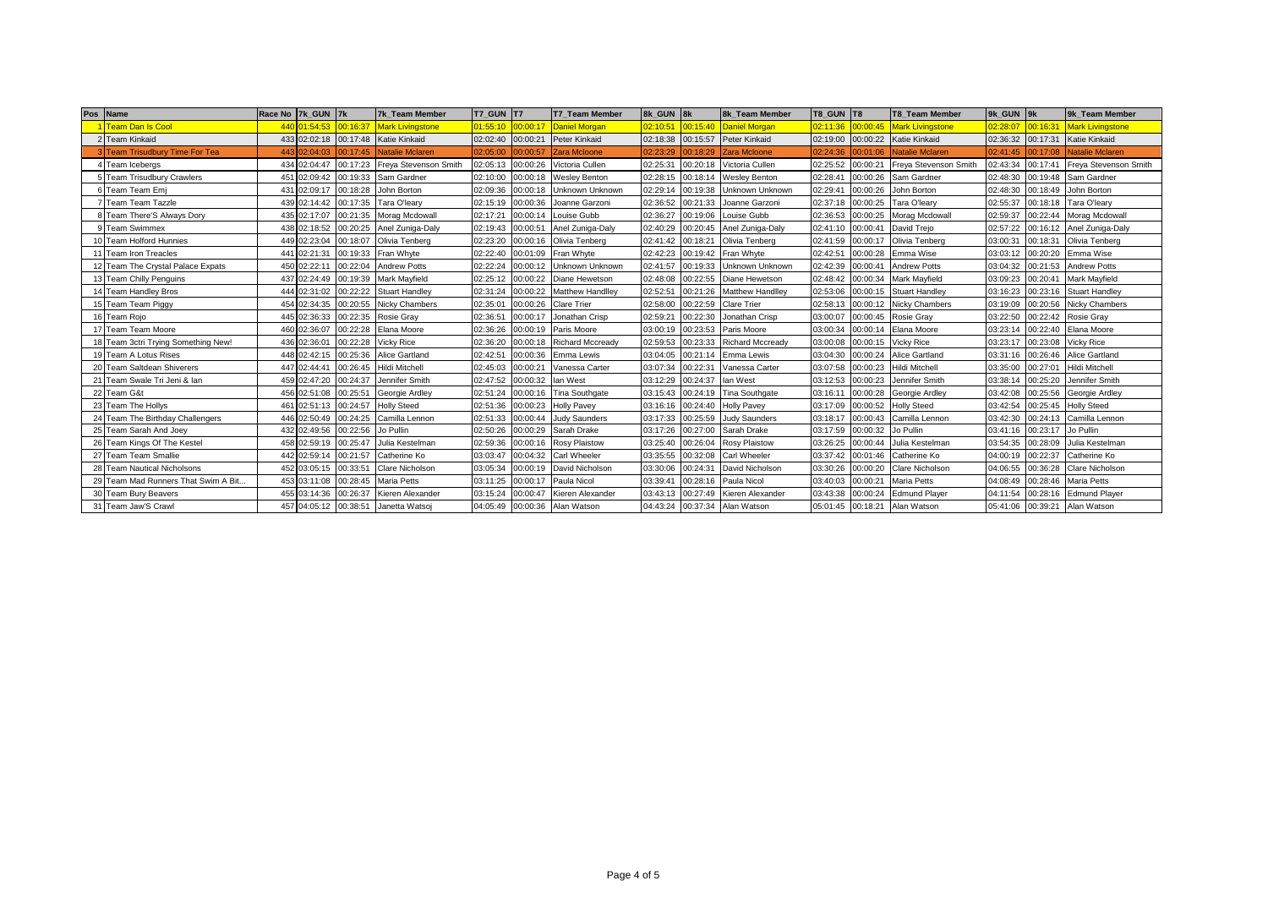|    | Pos Name                             |      | Race No 7k GUN 7k |          | 7k Team Member          | T7 GUN T7 |                   | <b>T7 Team Member</b>         | 8k GUN 8k         |          | 8k Team Member          | <b>T8 GUN T8</b> |          | <b>T8 Team Member</b>         | 9k GUN 9k |          | 9k Team Member          |
|----|--------------------------------------|------|-------------------|----------|-------------------------|-----------|-------------------|-------------------------------|-------------------|----------|-------------------------|------------------|----------|-------------------------------|-----------|----------|-------------------------|
|    | <b>Team Dan Is Cool</b>              |      | 440 01:54:53      | 00:16:37 | <b>Mark Livingstone</b> | 01:55:10  | 00:00:17          | Daniel Morgan                 | 02:10:51          | 00:15:40 | Daniel Morgan           | 02:11:36         | 00:00:45 | <b>Mark Livingstone</b>       | 02:28:07  | 00:16:31 | <b>Mark Livingstone</b> |
|    | 2 Team Kinkaid                       |      | 433 02:02:18      |          | 00:17:48 Katie Kinkaid  | 02:02:40  | 00:00:21          | <b>Peter Kinkaid</b>          | 02:18:38          | 00:15:57 | Peter Kinkaid           | 02:19:00         | 00:00:22 | <b>Katie Kinkaid</b>          | 02:36:32  | 00:17:31 | Katie Kinkaid           |
|    | <b>Team Trisudbury Time For Tea</b>  |      | 443 02:04:03      | 00:17:45 | <b>Natalie Mclaren</b>  | 02:05:00  | 00:00:57          | Zara Mcloone                  | 02:23:29          | 0:18:29  | Zara Mcloone            | 02:24:36         | 00:01:06 | Natalie Mclaren               | 02:41:45  | 00:17:08 | <b>Natalie Mclaren</b>  |
|    | Team Icebergs                        |      | 434 02:04:47      | 00:17:23 | Freya Stevenson Smith   | 02:05:13  | 00:00:26          | Victoria Cullen               | 02:25:31          | 00:20:18 | Victoria Cullen         | 02:25:52         | 00:00:21 | Freva Stevenson Smith         | 02:43:34  | 00:17:41 | Freya Stevenson Smith   |
|    | 5 Team Trisudbury Crawlers           |      | 451 02:09:42      | 00:19:33 | Sam Gardner             | 02:10:00  |                   | 00:00:18 Wesley Benton        | 02:28:15          | 00:18:14 | <b>Wesley Benton</b>    | 02:28:41         | 00:00:26 | Sam Gardner                   | 02:48:30  | 00:19:48 | Sam Gardner             |
|    | Team Team Emi                        |      | 431 02:09:17      | 00:18:28 | John Borton             | 02:09:36  |                   | 00:00:18 Unknown Unknown      | 02:29:14          | 00:19:38 | Unknown Unknowr         | 02:29:41         | 00:00:26 | John Borton                   | 02:48:30  | 00:18:49 | John Borton             |
|    | <b>Team Team Tazzle</b>              |      | 439 02:14:42      | 00:17:35 | Tara O'learv            | 02:15:19  |                   | 00:00:36 Joanne Garzoni       | 02:36:52          | 00:21:33 | Joanne Garzoni          | 02:37:18         | 00:00:25 | Tara O'learv                  | 02:55:37  | 00:18:18 | Tara O'leary            |
|    | 8 Team There'S Always Dory           |      | 435 02:17:07      | 00:21:35 | Morag Mcdowall          | 02:17:21  |                   | 00:00:14 Louise Gubb          | 02:36:27          | 00:19:06 | Louise Gubb             | 02:36:53         | 00:00:25 | Morag Mcdowall                | 02:59:37  |          | 00:22:44 Morag Mcdowall |
|    | <b>Team Swimmex</b>                  |      | 438 02:18:52      | 00:20:25 | Anel Zuniga-Daly        | 02:19:43  | 00:00:51          | Anel Zuniga-Daly              | 02:40:29          | 00:20:45 | Anel Zuniga-Daly        | 02:41:10         | 00:00:41 | David Trejo                   | 02:57:22  | 00:16:12 | Anel Zuniga-Daly        |
| 10 | <b>Team Holford Hunnies</b>          |      | 449 02:23:04      | 00:18:07 | Olivia Tenberg          | 02:23:20  |                   | 00:00:16 Olivia Tenberg       | 02:41:42          | 00:18:21 | Olivia Tenberg          | 02:41:59         | 00:00:17 | Olivia Tenberg                | 03:00:31  | 00:18:31 | Olivia Tenberg          |
|    | 11 Team Iron Treacles                |      | 441 02:21:31      | 00:19:33 | Fran Whyte              | 02:22:40  |                   | 00:01:09 Fran Whyte           | 02:42:23          | 00:19:42 | Fran Whyte              | 02:42:51         | 00:00:28 | Emma Wise                     | 03:03:12  | 00:20:20 | Emma Wise               |
|    | 12 Team The Crystal Palace Expats    |      | 450 02:22:11      | 00:22:04 | <b>Andrew Potts</b>     | 02:22:24  |                   | 00:00:12 Unknown Unknown      | 02:41:57          | 00:19:33 | Unknown Unknowr         | 02:42:39         | 00:00:41 | <b>Andrew Potts</b>           | 03:04:32  | 00:21:53 | <b>Andrew Potts</b>     |
|    | 13 Team Chilly Penguins              |      | 437 02:24:49      | 00:19:39 | <b>Mark Mavfield</b>    | 02:25:12  |                   | 00:00:22 Diane Hewetson       | 02:48:08          | 00:22:55 | Diane Hewetson          | 02:48:42         | 00:00:34 | <b>Mark Mayfield</b>          | 03:09:23  | 00:20:41 | <b>Mark Mayfield</b>    |
|    | 14 Team Handley Bros                 |      | 444 02:31:02      | 00:22:22 | <b>Stuart Handley</b>   | 02:31:24  |                   | 00:00:22 Matthew Handlley     | 02:52:51          | 00:21:26 | <b>Matthew Handlley</b> | 02:53:06         |          | 00:00:15 Stuart Handley       | 03:16:23  | 00:23:16 | <b>Stuart Handley</b>   |
|    | 15 Team Team Piggy                   |      | 454 02:34:35      | 00:20:55 | <b>Nicky Chambers</b>   | 02:35:01  |                   | 00:00:26 Clare Trier          | 02:58:00          | 00:22:59 | <b>Clare Trier</b>      | 02:58:13         | 00:00:12 | <b>Nicky Chambers</b>         | 03:19:09  | 00:20:56 | Nicky Chambers          |
|    | 16 Team Rojo                         |      | 445 02:36:33      | 00:22:35 | Rosie Grav              | 02:36:5   | 00:00:17          | Jonathan Crisp                | 02:59:21          | 00:22:30 | Jonathan Crisp          | 03:00:07         | 00:00:45 | Rosie Gray                    | 03:22:50  | 00:22:42 | <b>Rosie Gray</b>       |
|    | 17 Team Team Moore                   |      | 460 02:36:07      | 00:22:28 | Elana Moore             | 02:36:26  |                   | 00:00:19 Paris Moore          | 03:00:19          | 00:23:53 | Paris Moore             | 03:00:34         | 00:00:14 | Elana Moore                   | 03:23:14  | 00:22:40 | Elana Moore             |
|    | 18 Team 3ctri Trying Something New!  |      | 436 02:36:01      | 00:22:28 | <b>Vicky Rice</b>       | 02:36:20  |                   | 00:00:18 Richard Mccready     | 02:59:53          | 00:23:33 | <b>Richard Mccready</b> | 03:00:08         |          | 00:00:15 Vicky Rice           | 03:23:17  | 00:23:08 | <b>Vicky Rice</b>       |
|    | 19 Team A Lotus Rises                |      | 448 02:42:15      | 00:25:36 | <b>Alice Gartland</b>   | 02:42:5   |                   | 00:00:36 Emma Lewis           | 03:04:05          | 00:21:14 | Emma Lewis              | 03:04:30         | 00:00:24 | <b>Alice Gartland</b>         | 03:31:16  | 00:26:46 | Alice Gartland          |
|    | 20 Team Saltdean Shiverers           |      | 447 02:44:41      | 00:26:45 | <b>Hildi Mitchell</b>   | 02:45:03  | 00:00:21          | Vanessa Carter                | 03:07:34          | 00:22:31 | Vanessa Carter          | 03:07:58         | 00:00:23 | Hildi Mitchell                | 03:35:00  | 00:27:01 | <b>Hildi Mitchell</b>   |
|    | 21 Team Swale Tri Jeni & Ian         |      | 459 02:47:20      | 00:24:37 | Jennifer Smith          | 02:47:52  | 00:00:32 lan West |                               | 03:12:29          | 00:24:37 | lan West                | 03:12:53         |          | 00:00:23 Jennifer Smith       | 03:38:14  | 00:25:20 | Jennifer Smith          |
|    | 22 Team G&t                          |      | 456 02:51:08      | 00:25:51 | Georgie Ardley          | 02:51:24  | 00:00:16          | Tina Southgate                | 03:15:43          | 00:24:19 | <b>Tina Southgate</b>   | 03:16:11         | 00:00:28 | Georgie Ardley                | 03:42:08  | 00:25:56 | Georgie Ardley          |
|    | 23 Team The Hollys                   |      | 461 02:51:13      | 00:24:57 | <b>Holly Steed</b>      | 02:51:36  |                   | 00:00:23 Holly Pavey          | 03:16:16          | 00:24:40 | <b>Holly Pavey</b>      | 03:17:09         | 00:00:52 | <b>Holly Steed</b>            | 03:42:54  | 00:25:45 | <b>Holly Steed</b>      |
|    | 24 Team The Birthday Challengers     | 446. | 02:50:49          | 00:24:25 | Camilla Lennon          | 02:51:33  | 00:00:44          | <b>Judy Saunders</b>          | 03:17:33          | 00:25:59 | <b>Judy Saunders</b>    | 03:18:17         | 00:00:43 | Camilla Lennon                | 03:42:30  | 00:24:13 | Camilla Lennon          |
|    | 25 Team Sarah And Joey               |      | 432 02:49:56      | 00:22:56 | Jo Pullin               | 02:50:26  | 00:00:29          | Sarah Drake                   | 03:17:26          | 00:27:00 | Sarah Drake             | 03:17:59         | 00:00:32 | Jo Pullin                     | 03:41:16  | 00:23:17 | Jo Pullin               |
|    | 26 Team Kings Of The Kestel          |      | 458 02:59:19      | 00:25:47 | Julia Kestelman         | 02:59:36  |                   | 00:00:16 Rosy Plaistow        | 03:25:40          | 00:26:04 | <b>Rosy Plaistow</b>    | 03:26:25         | 00:00:44 | Julia Kestelman               | 03:54:35  | 00:28:09 | Julia Kestelman         |
|    | 27 Team Team Smallie                 |      | 442 02:59:14      | 00:21:57 | Catherine Ko            | 03:03:47  |                   | 00:04:32 Carl Wheeler         | 03:35:55          | 00:32:08 | <b>Carl Wheeler</b>     | 03:37:42         | 00:01:46 | Catherine Ko                  | 04:00:19  | 00:22:37 | Catherine Ko            |
|    | 28 Team Nautical Nicholsons          |      | 452 03:05:15      | 00:33:51 | <b>Clare Nicholson</b>  | 03:05:34  | 00:00:19          | David Nicholson               | 03:30:06          | 00:24:31 | David Nicholson         | 03:30:26         | 00:00:20 | Clare Nicholson               | 04:06:55  | 00:36:28 | Clare Nicholson         |
|    | 29 Team Mad Runners That Swim A Bit. |      | 453 03:11:08      | 00:28:45 | <b>Maria Petts</b>      | 03:11:25  | 00:00:17          | Paula Nicol                   | 03:39:41          | 00:28:16 | Paula Nicol             | 03:40:03         | 00:00:21 | <b>Maria Petts</b>            | 04:08:49  | 00:28:46 | <b>Maria Petts</b>      |
|    | 30 Team Bury Beavers                 |      | 455 03:14:36      | 00:26:37 | Kieren Alexander        | 03:15:24  |                   | 00:00:47 Kieren Alexander     | 03:43:13          | 00:27:49 | Kieren Alexander        | 03:43:38         | 00:00:24 | <b>Edmund Player</b>          | 04:11:54  | 00:28:16 | <b>Edmund Player</b>    |
|    | 31 Team Jaw'S Crawl                  |      | 457 04:05:12      |          | 00:38:51 Janetta Watsoj |           |                   | 04:05:49 00:00:36 Alan Watson | 04:43:24 00:37:34 |          | Alan Watson             |                  |          | 05:01:45 00:18:21 Alan Watson | 05:41:06  |          | 00:39:21 Alan Watson    |